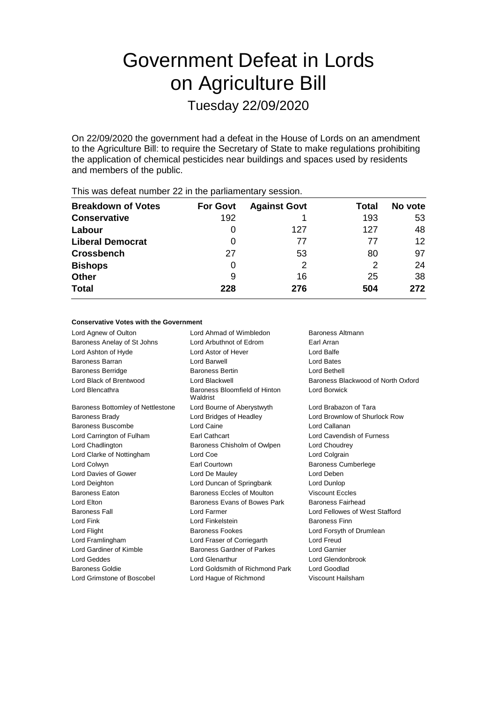# Government Defeat in Lords on Agriculture Bill

Tuesday 22/09/2020

On 22/09/2020 the government had a defeat in the House of Lords on an amendment to the Agriculture Bill: to require the Secretary of State to make regulations prohibiting the application of chemical pesticides near buildings and spaces used by residents and members of the public.

| <b>Breakdown of Votes</b> | <b>For Govt</b> | <b>Against Govt</b> | Total | No vote |
|---------------------------|-----------------|---------------------|-------|---------|
| <b>Conservative</b>       | 192             |                     | 193   | 53      |
| Labour                    | $\Omega$        | 127                 | 127   | 48      |
| <b>Liberal Democrat</b>   | 0               | 77                  | 77    | 12      |
| <b>Crossbench</b>         | 27              | 53                  | 80    | 97      |
| <b>Bishops</b>            | 0               | 2                   | 2     | 24      |
| <b>Other</b>              | 9               | 16                  | 25    | 38      |
| <b>Total</b>              | 228             | 276                 | 504   | 272     |
|                           |                 |                     |       |         |

This was defeat number 22 in the parliamentary session.

#### **Conservative Votes with the Government**

| Lord Agnew of Oulton              | Lord Ahmad of Wimbledon                   | Baroness Altmann                   |  |
|-----------------------------------|-------------------------------------------|------------------------------------|--|
| Baroness Anelay of St Johns       | Lord Arbuthnot of Edrom                   | Earl Arran                         |  |
| Lord Ashton of Hyde               | Lord Astor of Hever                       | Lord Balfe                         |  |
| <b>Baroness Barran</b>            | Lord Barwell                              | Lord Bates                         |  |
| <b>Baroness Berridge</b>          | <b>Baroness Bertin</b>                    | Lord Bethell                       |  |
| Lord Black of Brentwood           | Lord Blackwell                            | Baroness Blackwood of North Oxford |  |
| Lord Blencathra                   | Baroness Bloomfield of Hinton<br>Waldrist | Lord Borwick                       |  |
| Baroness Bottomley of Nettlestone | Lord Bourne of Aberystwyth                | Lord Brabazon of Tara              |  |
| <b>Baroness Brady</b>             | Lord Bridges of Headley                   | Lord Brownlow of Shurlock Row      |  |
| <b>Baroness Buscombe</b>          | Lord Caine                                | Lord Callanan                      |  |
| Lord Carrington of Fulham         | Earl Cathcart                             | Lord Cavendish of Furness          |  |
| Lord Chadlington                  | Baroness Chisholm of Owlpen               | Lord Choudrey                      |  |
| Lord Clarke of Nottingham         | Lord Coe                                  | Lord Colgrain                      |  |
| Lord Colwyn                       | Earl Courtown                             | <b>Baroness Cumberlege</b>         |  |
| Lord Davies of Gower              | Lord De Mauley                            | Lord Deben                         |  |
| Lord Deighton                     | Lord Duncan of Springbank                 | Lord Dunlop                        |  |
| <b>Baroness Eaton</b>             | Baroness Eccles of Moulton                | <b>Viscount Eccles</b>             |  |
| Lord Elton                        | Baroness Evans of Bowes Park              | Baroness Fairhead                  |  |
| <b>Baroness Fall</b>              | Lord Farmer                               | Lord Fellowes of West Stafford     |  |
| Lord Fink                         | Lord Finkelstein                          | <b>Baroness Finn</b>               |  |
| Lord Flight                       | <b>Baroness Fookes</b>                    | Lord Forsyth of Drumlean           |  |
| Lord Framlingham                  | Lord Fraser of Corriegarth                | Lord Freud                         |  |
| Lord Gardiner of Kimble           | Baroness Gardner of Parkes                | Lord Garnier                       |  |
| <b>Lord Geddes</b>                | <b>Lord Glenarthur</b>                    | Lord Glendonbrook                  |  |
| Baroness Goldie                   | Lord Goldsmith of Richmond Park           | Lord Goodlad                       |  |
| Lord Grimstone of Boscobel        | Lord Haque of Richmond                    | Viscount Hailsham                  |  |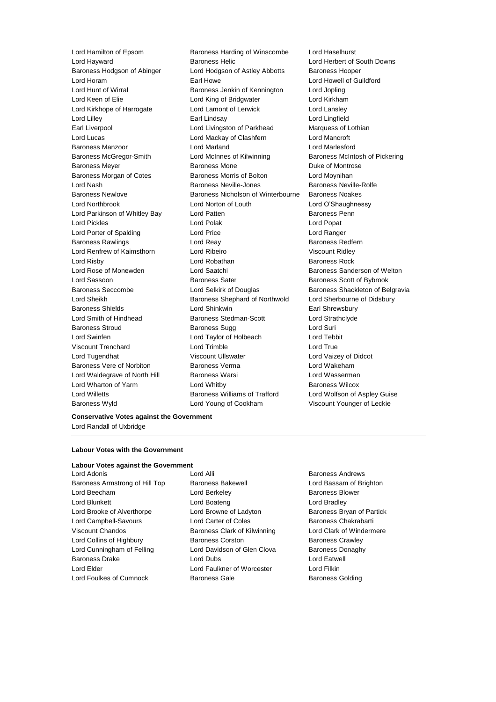Baroness Wyld Lord Young of Cookham Viscount Younger of Leckie

Lord Hamilton of Epsom Baroness Harding of Winscombe Lord Haselhurst Lord Hayward Baroness Helic Lord Herbert of South Downs Baroness Hodgson of Abinger Lord Hodgson of Astley Abbotts Baroness Hooper Lord Horam **Earl Howe** Earl Howe **Lord Howell of Guildford** Lord Hunt of Wirral Baroness Jenkin of Kennington Lord Jopling Lord Keen of Elie **Lord King of Bridgwater** Lord Kirkham Lord Kirkhope of Harrogate Lord Lamont of Lerwick Lord Lansley Lord Lilley Earl Lindsay Lord Lingfield Earl Liverpool **Lord Livingston of Parkhead** Marquess of Lothian Lord Lucas Lord Mackay of Clashfern Lord Mancroft Baroness Manzoor Lord Marland Lord Marlesford Baroness McGregor-Smith Lord McInnes of Kilwinning Baroness McIntosh of Pickering Baroness Meyer **Baroness Mone** Baroness Mone **Duke of Montrose** Baroness Morgan of Cotes Baroness Morris of Bolton Lord Moynihan Lord Nash **Baroness Neville-Jones** Baroness Neville-Rolfe Baroness Newlove Baroness Nicholson of Winterbourne Baroness Noakes Lord Northbrook Lord Norton of Louth Lord O'Shaughnessy Lord Parkinson of Whitley Bay **Lord Patten Communist Control** Baroness Penn Lord Pickles Lord Polak Lord Popat Lord Porter of Spalding **Lord Price** Lord Price **Lord Ranger** Baroness Rawlings **Baroness Redfern** Lord Reay **Baroness Redfern** Lord Renfrew of Kaimsthorn Lord Ribeiro Christian Music Viscount Ridley Lord Risby **Lord Robathan** Baroness Rock Lord Rose of Monewden **Lord Saatchi** Baroness Sanderson of Welton Lord Sassoon **Baroness Sater** Baroness Scott of Bybrook Baroness Seccombe **Lord Selkirk of Douglas** Baroness Shackleton of Belgravia Lord Sheikh Baroness Shephard of Northwold Lord Sherbourne of Didsbury Baroness Shields **Lord Shinkwin** Earl Shrewsbury Lord Smith of Hindhead Baroness Stedman-Scott Lord Strathclyde Baroness Stroud Baroness Sugg Lord Suri Lord Swinfen Lord Taylor of Holbeach Lord Tebbit Viscount Trenchard Lord Trimble Lord True Lord Tugendhat Viscount Ullswater Lord Vaizey of Didcot Baroness Vere of Norbiton Baroness Verma Lord Wakeham Lord Waldegrave of North Hill Baroness Warsi North Hill Baroness Warsi Lord Wasserman Lord Wharton of Yarm **Lord Whitby Constant Constant Constant Constant Constant Constant Constant Constant Constant Constant Constant Constant Constant Constant Constant Constant Constant Constant Constant Constant Consta** Lord Willetts Baroness Williams of Trafford Lord Wolfson of Aspley Guise

#### **Conservative Votes against the Government** Lord Randall of Uxbridge

#### **Labour Votes with the Government**

### **Labour Votes against the Government**

- Lord Adonis Lord Alli Baroness Andrews Baroness Armstrong of Hill Top Baroness Bakewell **Baroness Harmstrong and Brighton** Lord Beecham **Lord Berkeley Baroness Blower Baroness Blower** Lord Blunkett **Lord Boateng** Lord Boateng **Lord Bradley** Lord Brooke of Alverthorpe **Lord Browne of Ladyton** Baroness Bryan of Partick Lord Campbell-Savours Lord Carter of Coles Baroness Chakrabarti Viscount Chandos Baroness Clark of Kilwinning Lord Clark of Windermere Lord Collins of Highbury **Baroness Corston** Baroness Corston Baroness Crawley Lord Cunningham of Felling **Lord Davidson of Glen Clova** Baroness Donaghy Baroness Drake Lord Dubs Lord Eatwell Lord Elder **Lord Faulkner of Worcester** Lord Filkin Lord Foulkes of Cumnock **Baroness Gale** Baroness Golding
	-
-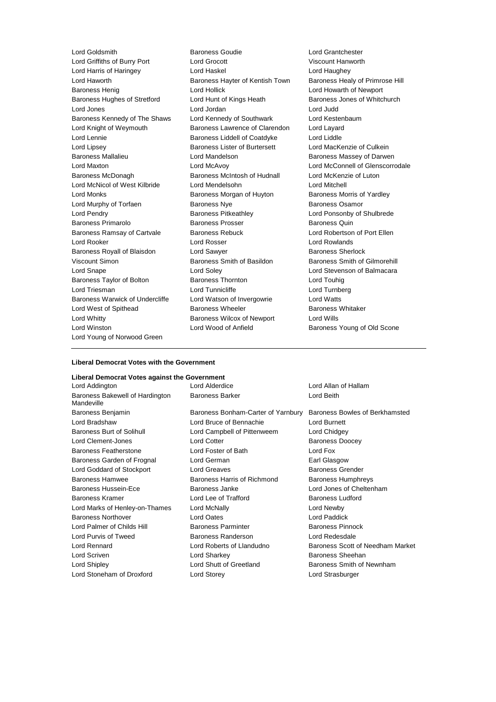Lord Griffiths of Burry Port Lord Grocott Viscount Hanworth Lord Harris of Haringey Lord Haskel Lord Haughey Lord Haworth Baroness Hayter of Kentish Town Baroness Healy of Primrose Hill Baroness Henig **Example 20** Lord Hollick **Lord Hollick** Lord Howarth of Newport Baroness Hughes of Stretford Lord Hunt of Kings Heath Baroness Jones of Whitchurch Lord Jones Lord Jordan Lord Judd Baroness Kennedy of The Shaws Lord Kennedy of Southwark Lord Kestenbaum Lord Knight of Weymouth Baroness Lawrence of Clarendon Lord Layard Lord Lennie **Baroness Liddell of Coatdyke** Lord Liddle Lord Lipsey Baroness Lister of Burtersett Lord MacKenzie of Culkein Baroness Mallalieu **Network Constructs Lord Mandelson** Baroness Massey of Darwen Lord Maxton Lord McAvoy Lord McConnell of Glenscorrodale Baroness McDonagh Baroness McIntosh of Hudnall Lord McKenzie of Luton Lord McNicol of West Kilbride Lord Mendelsohn Lord Mitchell Lord Monks **Baroness Morgan of Huyton** Baroness Morris of Yardley Baroness Morris of Yardley Lord Murphy of Torfaen **Baroness Nye** Baroness Osamor Lord Pendry Baroness Pitkeathley Lord Ponsonby of Shulbrede Baroness Primarolo **Baroness Prosser** Baroness Prosser Baroness Quin Baroness Ramsay of Cartvale Baroness Rebuck Lord Robertson of Port Ellen Lord Rooker Lord Rosser Lord Rowlands Baroness Royall of Blaisdon **Lord Sawyer Baroness Sherlock** Viscount Simon Baroness Smith of Basildon Baroness Smith of Gilmorehill Lord Snape Lord Soley Lord Stevenson of Balmacara Baroness Taylor of Bolton Baroness Thornton Lord Touhig Lord Triesman Lord Tunnicliffe Lord Turnberg Baroness Warwick of Undercliffe Lord Watson of Invergowrie Lord Watts Lord West of Spithead **Baroness Wheeler** Baroness Wheeler **Baroness Whitaker** Lord Whitty Baroness Wilcox of Newport Lord Wills Lord Winston **Lord Wood of Anfield** Baroness Young of Old Scone Lord Young of Norwood Green

Lord Goldsmith Baroness Goudie Lord Grantchester

#### **Liberal Democrat Votes with the Government**

#### **Liberal Democrat Votes against the Government**

Lord Addington Lord Alderdice Lord Allan of Hallam Baroness Bakewell of Hardington Mandeville

Baroness Benjamin Baroness Bonham-Carter of Yarnbury Baroness Bowles of Berkhamsted Lord Bradshaw Lord Bruce of Bennachie Lord Burnett Baroness Burt of Solihull **Lord Campbell of Pittenweem** Lord Chidgey Lord Clement-Jones **Lord Cotter Lord Cotter Baroness Doocey** Baroness Featherstone Lord Foster of Bath Lord Fox Baroness Garden of Frognal Lord German **Earl Glasgow** Lord Goddard of Stockport Lord Greaves **Baroness Grender** Baroness Grender Baroness Hamwee **Baroness Harris of Richmond** Baroness Humphreys Baroness Hussein-Ece **Baroness Janke** Lord Jones of Cheltenham Baroness Kramer **Edge Corner Lord Lee of Trafford** Baroness Ludford **Baroness** Ludford Lord Marks of Henley-on-Thames Lord McNally Lord Newby Baroness Northover Lord Oates Lord Paddick Lord Palmer of Childs Hill **Baroness Parminter** Baroness Parminter Baroness Pinnock Lord Purvis of Tweed Baroness Randerson Lord Redesdale Lord Scriven **Lord Sharkey Lord Sharkey Baroness Sheehan** Lord Shipley **Lord Shutt of Greetland** Baroness Smith of Newnham Lord Stoneham of Droxford Lord Storey Lord Strasburger

Baroness Barker **Lord Beith** 

Lord Rennard Lord Roberts of Llandudno Baroness Scott of Needham Market